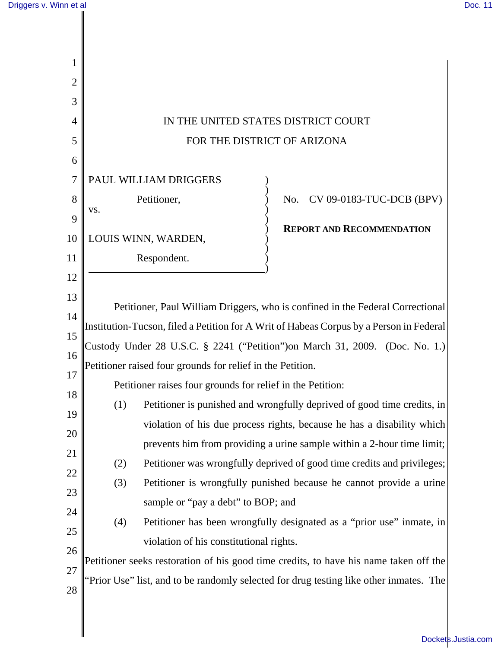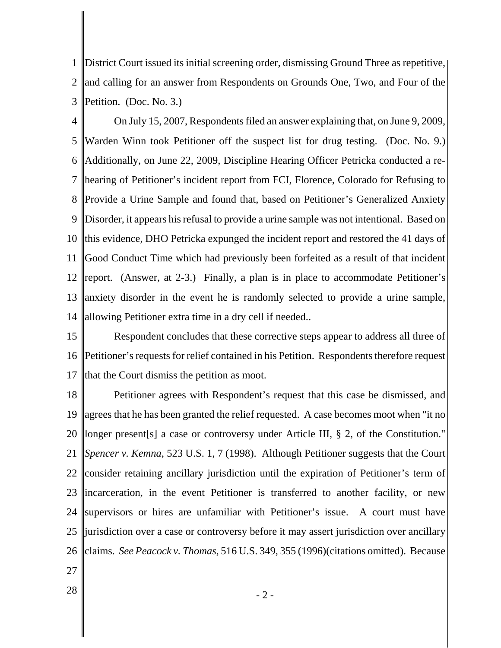1 2 3 District Court issued its initial screening order, dismissing Ground Three as repetitive, and calling for an answer from Respondents on Grounds One, Two, and Four of the Petition. (Doc. No. 3.)

4 5 6 7 8 9 10 11 12 13 14 On July 15, 2007, Respondents filed an answer explaining that, on June 9, 2009, Warden Winn took Petitioner off the suspect list for drug testing. (Doc. No. 9.) Additionally, on June 22, 2009, Discipline Hearing Officer Petricka conducted a rehearing of Petitioner's incident report from FCI, Florence, Colorado for Refusing to Provide a Urine Sample and found that, based on Petitioner's Generalized Anxiety Disorder, it appears his refusal to provide a urine sample was not intentional. Based on this evidence, DHO Petricka expunged the incident report and restored the 41 days of Good Conduct Time which had previously been forfeited as a result of that incident report. (Answer, at 2-3.) Finally, a plan is in place to accommodate Petitioner's anxiety disorder in the event he is randomly selected to provide a urine sample, allowing Petitioner extra time in a dry cell if needed..

15 16 17 Respondent concludes that these corrective steps appear to address all three of Petitioner's requests for relief contained in his Petition. Respondents therefore request that the Court dismiss the petition as moot.

18 19 20 21 22 23 24 25 26 Petitioner agrees with Respondent's request that this case be dismissed, and agrees that he has been granted the relief requested. A case becomes moot when "it no longer present[s] a case or controversy under Article III, § 2, of the Constitution." *Spencer v. Kemna*, 523 U.S. 1, 7 (1998). Although Petitioner suggests that the Court consider retaining ancillary jurisdiction until the expiration of Petitioner's term of incarceration, in the event Petitioner is transferred to another facility, or new supervisors or hires are unfamiliar with Petitioner's issue. A court must have jurisdiction over a case or controversy before it may assert jurisdiction over ancillary claims. *See Peacock v. Thomas*, 516 U.S. 349, 355 (1996)(citations omitted). Because

- 27
-